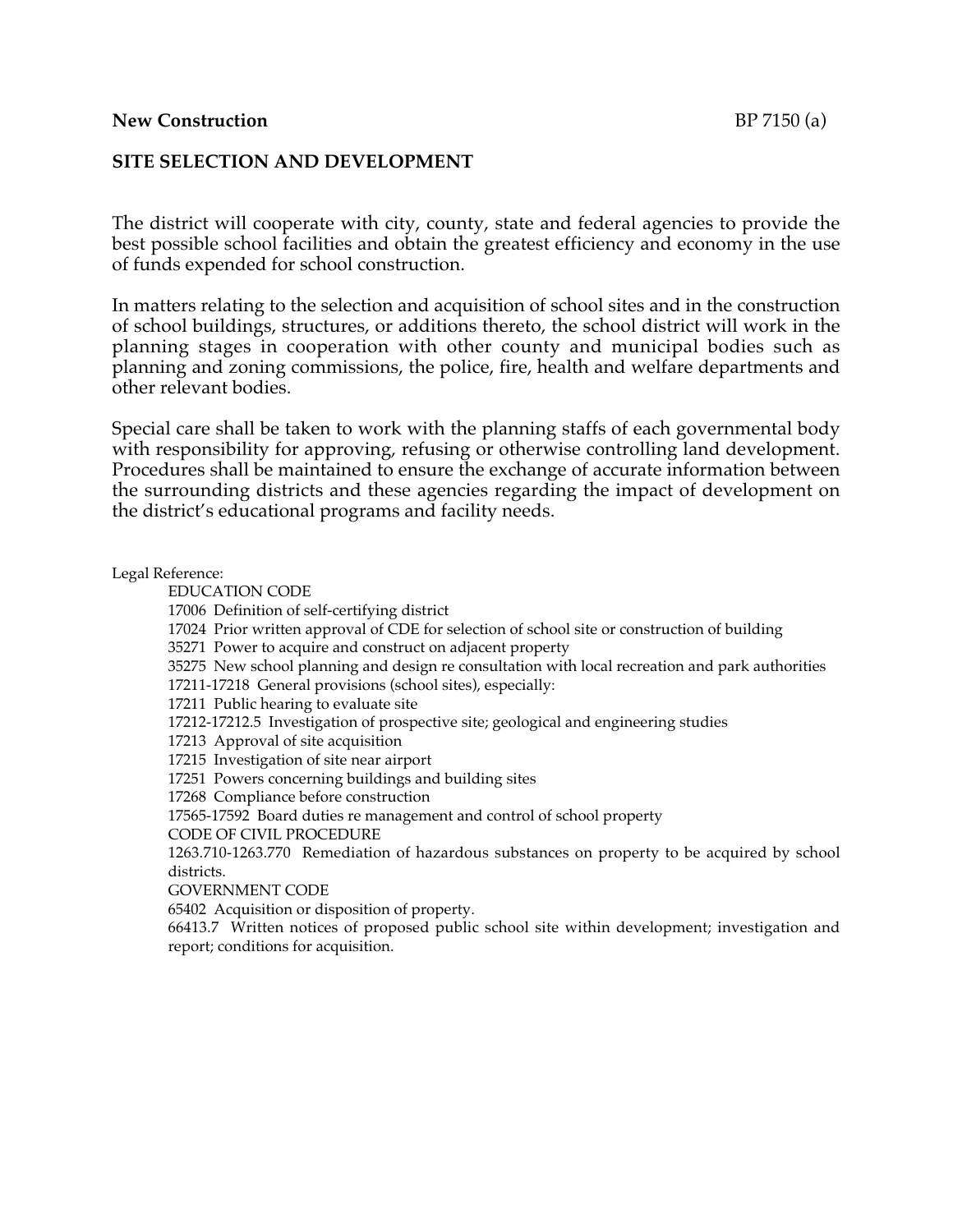## **New Construction** BP 7150 (a)

## **SITE SELECTION AND DEVELOPMENT**

The district will cooperate with city, county, state and federal agencies to provide the best possible school facilities and obtain the greatest efficiency and economy in the use of funds expended for school construction.

In matters relating to the selection and acquisition of school sites and in the construction of school buildings, structures, or additions thereto, the school district will work in the planning stages in cooperation with other county and municipal bodies such as planning and zoning commissions, the police, fire, health and welfare departments and other relevant bodies.

Special care shall be taken to work with the planning staffs of each governmental body with responsibility for approving, refusing or otherwise controlling land development. Procedures shall be maintained to ensure the exchange of accurate information between the surrounding districts and these agencies regarding the impact of development on the district's educational programs and facility needs.

## Legal Reference:

EDUCATION CODE

17006 Definition of self-certifying district

17024 Prior written approval of CDE for selection of school site or construction of building

35271 Power to acquire and construct on adjacent property

35275 New school planning and design re consultation with local recreation and park authorities

17211-17218 General provisions (school sites), especially:

17211 Public hearing to evaluate site

17212-17212.5 Investigation of prospective site; geological and engineering studies

17213 Approval of site acquisition

17215 Investigation of site near airport

17251 Powers concerning buildings and building sites

17268 Compliance before construction

17565-17592 Board duties re management and control of school property

CODE OF CIVIL PROCEDURE

1263.710-1263.770 Remediation of hazardous substances on property to be acquired by school districts.

GOVERNMENT CODE

65402 Acquisition or disposition of property.

66413.7 Written notices of proposed public school site within development; investigation and report; conditions for acquisition.